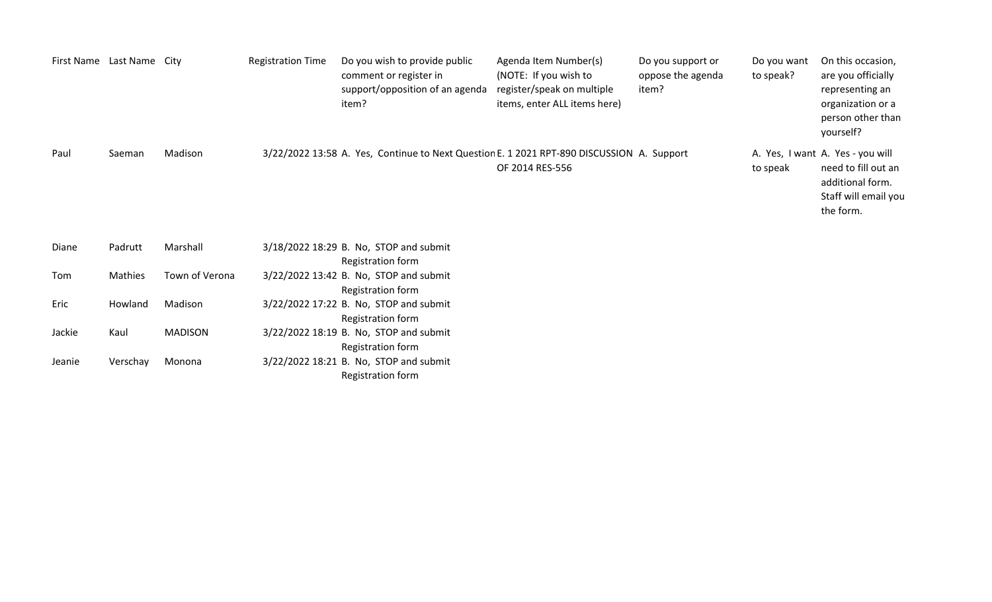|        | First Name Last Name City |                | <b>Registration Time</b> | Do you wish to provide public<br>comment or register in<br>support/opposition of an agenda<br>item? | Agenda Item Number(s)<br>(NOTE: If you wish to<br>register/speak on multiple<br>items, enter ALL items here) | Do you support or<br>oppose the agenda<br>item? | Do you want<br>to speak? | On this occasion,<br>are you officially<br>representing an<br>organization or a<br>person other than<br>yourself? |
|--------|---------------------------|----------------|--------------------------|-----------------------------------------------------------------------------------------------------|--------------------------------------------------------------------------------------------------------------|-------------------------------------------------|--------------------------|-------------------------------------------------------------------------------------------------------------------|
| Paul   | Saeman                    | Madison        |                          | 3/22/2022 13:58 A. Yes, Continue to Next Question E. 1 2021 RPT-890 DISCUSSION A. Support           | OF 2014 RES-556                                                                                              |                                                 | to speak                 | A. Yes, I want A. Yes - you will<br>need to fill out an<br>additional form.<br>Staff will email you<br>the form.  |
| Diane  | Padrutt                   | Marshall       |                          | 3/18/2022 18:29 B. No, STOP and submit<br>Registration form                                         |                                                                                                              |                                                 |                          |                                                                                                                   |
| Tom    | Mathies                   | Town of Verona |                          | 3/22/2022 13:42 B. No, STOP and submit<br>Registration form                                         |                                                                                                              |                                                 |                          |                                                                                                                   |
| Eric   | Howland                   | Madison        |                          | 3/22/2022 17:22 B. No, STOP and submit<br>Registration form                                         |                                                                                                              |                                                 |                          |                                                                                                                   |
| Jackie | Kaul                      | <b>MADISON</b> |                          | 3/22/2022 18:19 B. No, STOP and submit<br>Registration form                                         |                                                                                                              |                                                 |                          |                                                                                                                   |

Jeanie Verschay Monona 3/22/2022 18:21 B. No, STOP and submit

Registration form